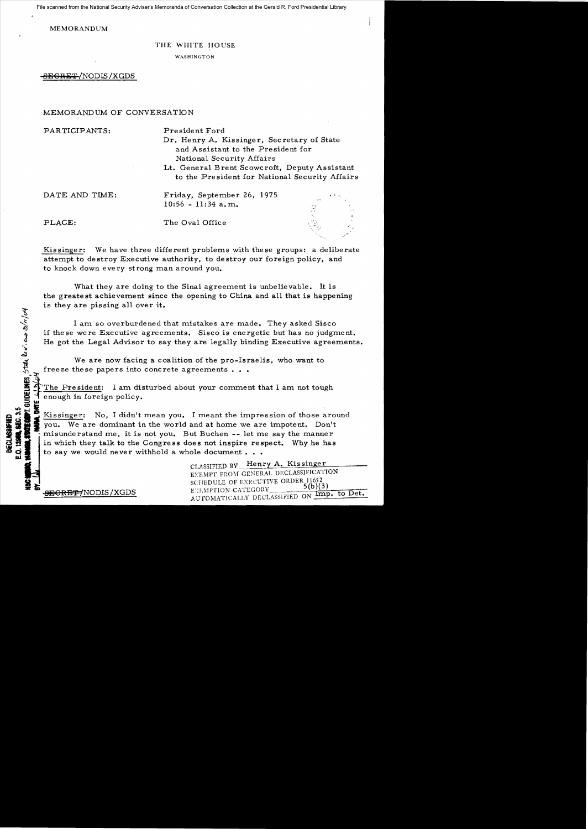File scanned from the National Security Adviser's Memoranda of Conversation Collection at the Gerald R. Ford Presidential Library

MEMORANDUM

## THE WHITE HOUSE

WASHINGTON

 $-$ BEGRET/NODIS/XGDS

## MEMORANDUM OF CONVERSATION

PARTICIPANTS: President Ford

Dr. Henry A. Kissinger, Sec retary of State and Assistant to the President for National Security Affairs

Lt. General Brent Scowcroft, Deputy Assistant to the President for National Security Affairs

## DATE AND TIME: Friday, September 26, 1975 10:56 - 11:34 a.m.

PLACE: The Oval Office

Kissinger: We have three different problems with these groups: a deliberate attempt to destroy Executive authority, to destroy our foreign policy, and to knock down every strong man around you.

What they are doing to the Sinai agreement is unbelievable. It is the greatest achievement since the opening to China and all that is happening is they are pissing all over it.

I am so overburdened that mistakes are made. They asked Sisco if these were Executive agreements. Sisco is energetic but has no judgment. He got the Legal Advisor to say they are legally binding Executive agreements.

We are now facing a coalition of the pro-Israelis, who want to freeze these papers into concrete agreements  $\ldots$ 

The President: I am disturbed about your comment that I am not tough enough in foreign policy.

Que <del>O</del><br>Qi ,. Kissinger: No, I didn't mean you. I meant the impression of those around IE Provided in the method and the impression of those are the same of the same we are impotent.<br>
IE SAME TO WE ALL THE WORLD AND THE MANUSCUP OF THE SAME TO THE WARD TO WE ARE dominant in the world and at home we are impot  $\frac{3}{2}$   $\frac{3}{2}$  misunderstand me, it is not you. But Buchen -- let me say the manner in which they talk to the Congress does not inspire respect. Why he has in which they talk to the Congress does not inspire respect. Why he has to say we would never withhold a whole document  $\ldots$ .

CLASSIFIED BY Henry A. Kissinger EXEMPT FROM GENERAL DECLASSIFICATION<br>SCHEDULE OF EXECUTIVE ORDER 11652 SCHEDULE OF EXECUTIVE ORDER 11652<br> **BEGRET/NODIS/XGDS** BEGRETION CATEGORY 5(b)(3)<br>
AUTOMATICALLY DECLASSIFIED ON Imp. to Det.

**DECLASSIFIEI**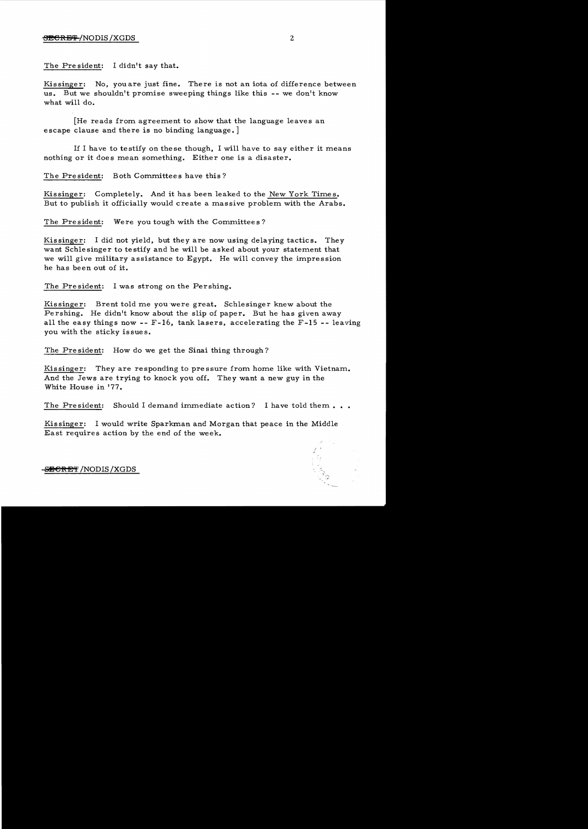The Pre sident: I didn't say that.

Kissinger: No, you are just fine. There is not an iota of difference between us. But we shouldn't promise sweeping things like this -- we don't know what will do.

[He reads from agreement to show that the language leaves an escape clause and there is no binding language.

If I have to te stify on the se though, I will have to say either it means nothing or it does mean something. Either one is a disaster.

The President: Both Committees have this?

Kissinger: Completely. And it has been leaked to the New York Times. But to publish it officially would create a massive problem with the Arabs.

The President: Were you tough with the Committees?

Kissinger: I did not yield, but they are now using delaying tactics. They want Schlesinger to testify and he will be asked about your statement that we will give military assistance to Egypt. He will convey the impression he has been out of it.

The President: I was strong on the Pershing.

Kissinger: Brent told me youwere great. Schlesinger knew about the Pershing. He didn't know about the slip of paper. But he has given away all the easy things now -- F-16, tank lasers, accelerating the F-15 -- leaving you with the sticky issues.

The President: How do we get the Sinai thing through?

Kissinger: They are responding to pressure from home like with Vietnam. And the Jews are trying to knock you off. They want a new guy in the White House in '77.

The President: Should I demand immediate action? I have told them...

Kissinger: I would write Sparkman and Morgan that peace in the Middle East requires action by the end of the week.



<del>-SECRET</del> /NODIS /XGDS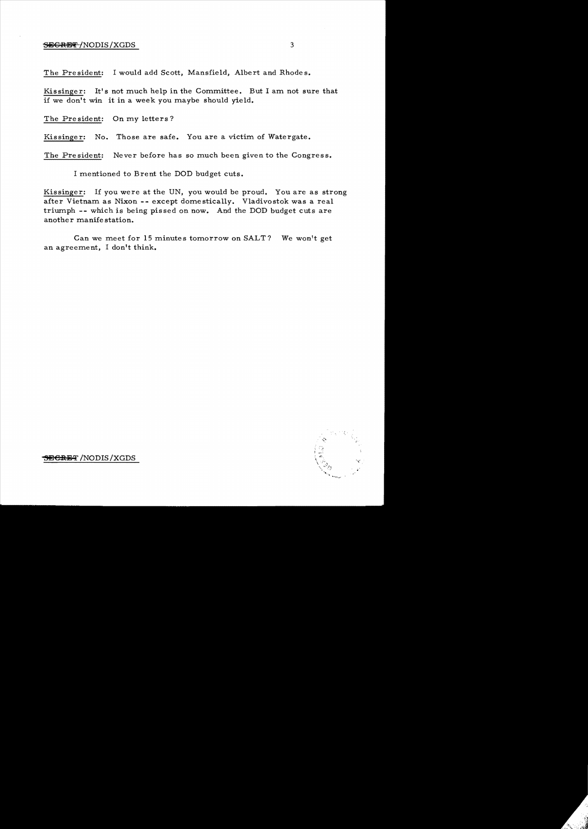## $S$ EGRET/NODIS/XGDS 3

The President: I would add Scott, Mansfield, Albert and Rhodes.

Kissinger: It's not much help in the Committee. But I am not sure that if we don't win it in a week you maybe should yield.

The President: On *my* letters?

Kissinger: No. Those are safe. You are a victim of Watergate.

The President: Never before has so much been given to the Congress.

I mentioned to Brent the DOD budget cuts.

Kissinger: If you were at the UN, you would be proud. You are as strong after Vietnam as Nixon - - except dome stically. Vladivostok was a real triumph -- which is being pissed on now. And the DOD budget cuts are another manifestation.

Can we meet for 15 minutes tomorrow on SALT? We won't get an agreement, I don't think.



<del>SECRET</del> /NODIS / XGDS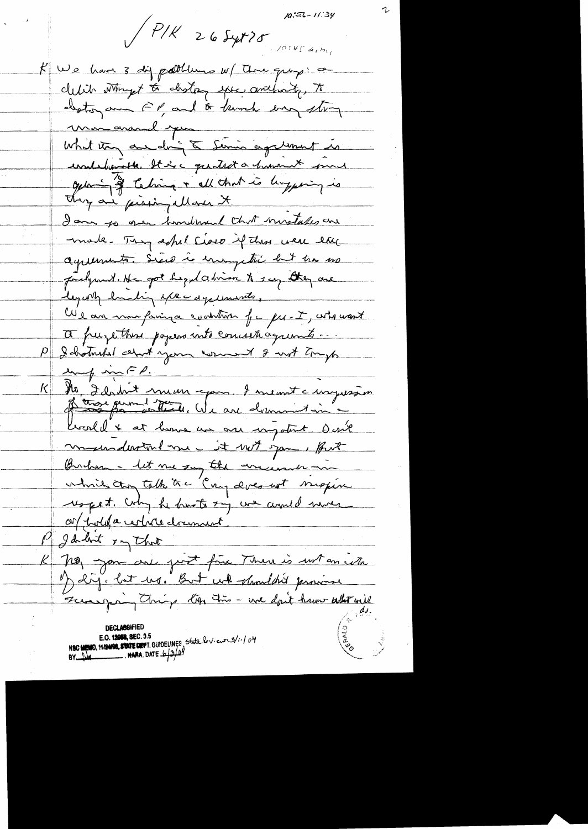$10:56 - 11:39$ 

 $P/K$  26 Syrt 25

K We have 3 dig politions w/ Three quip: a clubit whyt to disting spec anthony, to destoy and FP and & bunch bay story union avand pour comme de mais de la famille de la famille de la famille de la famille undelanothe It is a guitart a human it must opting of techniq + all that is lingering is They are presingallare it I am to geen hondomed that mostales are made. They soful seare if this were the agreements. Sices is enoughter but he no judgment. He got hegy dation to say they are legary hasting exec age univite. We are more fairing a coolition for pre-I, who want a pure there popers into concett agreemts ... I hotmaked about your womand I with tryp unf mFP.  $\overline{\phantom{a}}$ Ma Idahut man gans d'unemit à impossion K. Crosell & at home are one impotent. Desil movement me - it with you , fort Burham - let me say the wincenner in which they talk the Cay docount magine respect. Why he haste my we would more ces polita certain dramant. P I dolot in that K non you are post fire Than is with an with b) dij lat us. But wh shouldn't province Zureaupring the time - we don't have altrait **DECLASSIFIED** NSC MEMO, HAMBE, STATE DEPT. GUIDELINES State lev. eur 3/11/04 BY UM NARA, DATE  $6/3/2$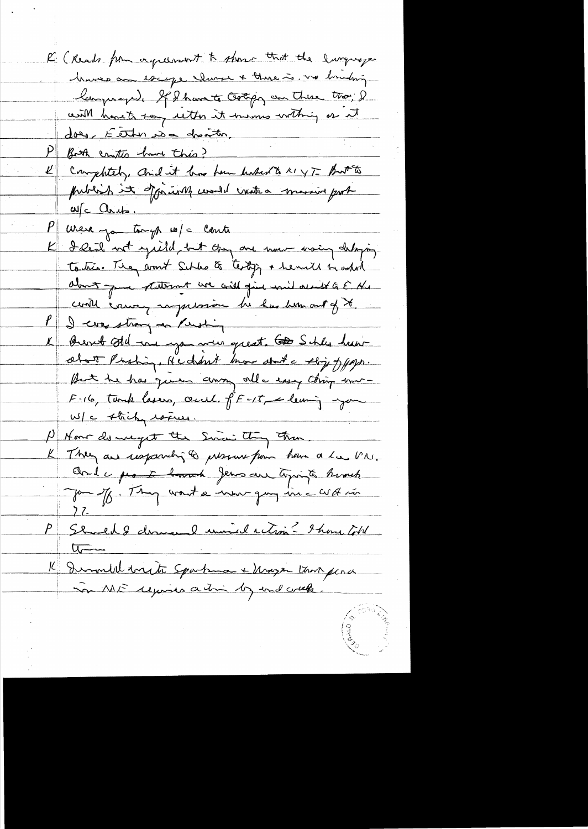R (Reads from agreement to show that the lunguage Marco am escape claves + there is . we brinding languer), If I have to Gotipg an Thise that, I with hand't say ulter it his most withing or it does, Either no a dreather. Both contro have this? K completely, and it has been known to a y T But to publish it officially could vate a massive port aufc Childs. P were jou tough w/c conti K I Real not yill but they are now using delaying to this. They armst Schles & testig + he will by whole about pour statement avec assistant und available à Mr could course, supplement de has been out of it P I was strong as Pushing K Bert All are you were great. To Schles hearabot Prohing, Hedreh how don't e ship of paps. But he has given away all easy thing une-F-16, templessen, cent f^F-15, cleaning you K They are useforming to presence from home a la VN. Chile protecteur deux au topis à humb P Should Schweil unied action ? Ihave totel  $\sqrt{2}$ Il Demondel virite Spartman + Mazzin trois perce